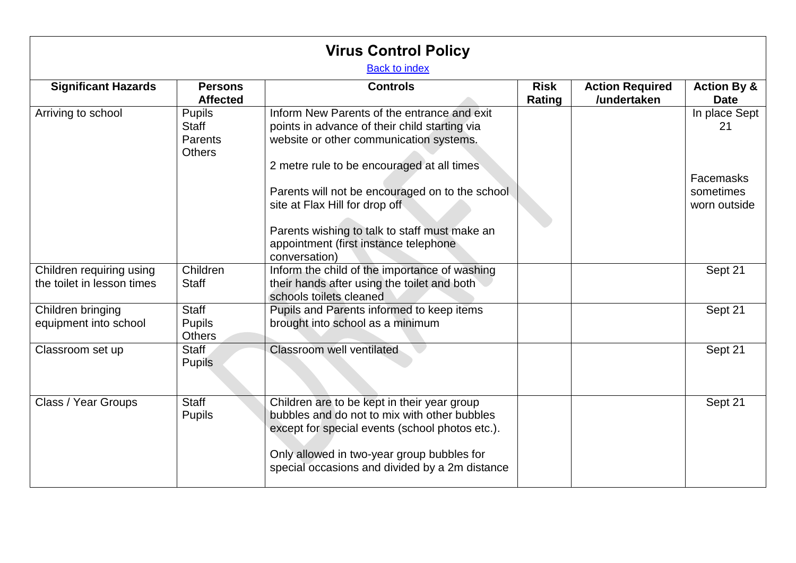| <b>Virus Control Policy</b><br><b>Back to index</b>    |                                                                  |                                                                                                                                                                                                                                                                            |                              |                                       |                                                               |  |
|--------------------------------------------------------|------------------------------------------------------------------|----------------------------------------------------------------------------------------------------------------------------------------------------------------------------------------------------------------------------------------------------------------------------|------------------------------|---------------------------------------|---------------------------------------------------------------|--|
| <b>Significant Hazards</b>                             | <b>Persons</b><br><b>Affected</b>                                | <b>Controls</b>                                                                                                                                                                                                                                                            | <b>Risk</b><br><b>Rating</b> | <b>Action Required</b><br>/undertaken | <b>Action By &amp;</b><br><b>Date</b>                         |  |
| Arriving to school                                     | <b>Pupils</b><br><b>Staff</b><br><b>Parents</b><br><b>Others</b> | Inform New Parents of the entrance and exit<br>points in advance of their child starting via<br>website or other communication systems.<br>2 metre rule to be encouraged at all times<br>Parents will not be encouraged on to the school<br>site at Flax Hill for drop off |                              |                                       | In place Sept<br>21<br>Facemasks<br>sometimes<br>worn outside |  |
|                                                        |                                                                  | Parents wishing to talk to staff must make an<br>appointment (first instance telephone<br>conversation)                                                                                                                                                                    |                              |                                       |                                                               |  |
| Children requiring using<br>the toilet in lesson times | Children<br><b>Staff</b>                                         | Inform the child of the importance of washing<br>their hands after using the toilet and both<br>schools toilets cleaned                                                                                                                                                    |                              |                                       | Sept 21                                                       |  |
| Children bringing<br>equipment into school             | <b>Staff</b><br><b>Pupils</b><br><b>Others</b>                   | Pupils and Parents informed to keep items<br>brought into school as a minimum                                                                                                                                                                                              |                              |                                       | Sept 21                                                       |  |
| Classroom set up                                       | Staff<br><b>Pupils</b>                                           | Classroom well ventilated                                                                                                                                                                                                                                                  |                              |                                       | Sept 21                                                       |  |
| Class / Year Groups                                    | <b>Staff</b><br><b>Pupils</b>                                    | Children are to be kept in their year group<br>bubbles and do not to mix with other bubbles<br>except for special events (school photos etc.).<br>Only allowed in two-year group bubbles for<br>special occasions and divided by a 2m distance                             |                              |                                       | Sept 21                                                       |  |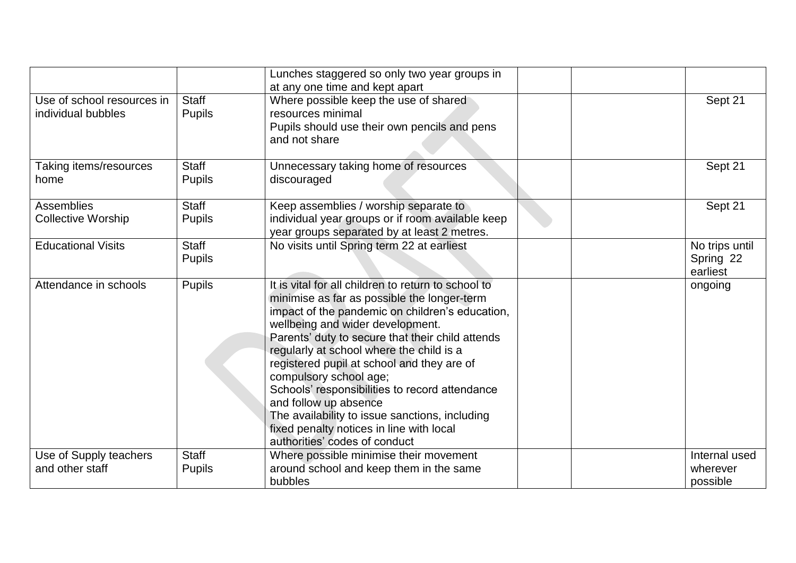|                                                  |                               | Lunches staggered so only two year groups in<br>at any one time and kept apart                                                                                                                                                                                                                                                                                                                                                                                                                                                                                              |  |                                         |
|--------------------------------------------------|-------------------------------|-----------------------------------------------------------------------------------------------------------------------------------------------------------------------------------------------------------------------------------------------------------------------------------------------------------------------------------------------------------------------------------------------------------------------------------------------------------------------------------------------------------------------------------------------------------------------------|--|-----------------------------------------|
| Use of school resources in<br>individual bubbles | Staff<br><b>Pupils</b>        | Where possible keep the use of shared<br>resources minimal<br>Pupils should use their own pencils and pens<br>and not share                                                                                                                                                                                                                                                                                                                                                                                                                                                 |  | Sept 21                                 |
| Taking items/resources<br>home                   | <b>Staff</b><br><b>Pupils</b> | Unnecessary taking home of resources<br>discouraged                                                                                                                                                                                                                                                                                                                                                                                                                                                                                                                         |  | Sept 21                                 |
| <b>Assemblies</b><br><b>Collective Worship</b>   | <b>Staff</b><br><b>Pupils</b> | Keep assemblies / worship separate to<br>individual year groups or if room available keep<br>year groups separated by at least 2 metres.                                                                                                                                                                                                                                                                                                                                                                                                                                    |  | Sept 21                                 |
| <b>Educational Visits</b>                        | <b>Staff</b><br><b>Pupils</b> | No visits until Spring term 22 at earliest                                                                                                                                                                                                                                                                                                                                                                                                                                                                                                                                  |  | No trips until<br>Spring 22<br>earliest |
| Attendance in schools                            | <b>Pupils</b>                 | It is vital for all children to return to school to<br>minimise as far as possible the longer-term<br>impact of the pandemic on children's education,<br>wellbeing and wider development.<br>Parents' duty to secure that their child attends<br>regularly at school where the child is a<br>registered pupil at school and they are of<br>compulsory school age;<br>Schools' responsibilities to record attendance<br>and follow up absence<br>The availability to issue sanctions, including<br>fixed penalty notices in line with local<br>authorities' codes of conduct |  | ongoing                                 |
| Use of Supply teachers<br>and other staff        | <b>Staff</b><br><b>Pupils</b> | Where possible minimise their movement<br>around school and keep them in the same<br>bubbles                                                                                                                                                                                                                                                                                                                                                                                                                                                                                |  | Internal used<br>wherever<br>possible   |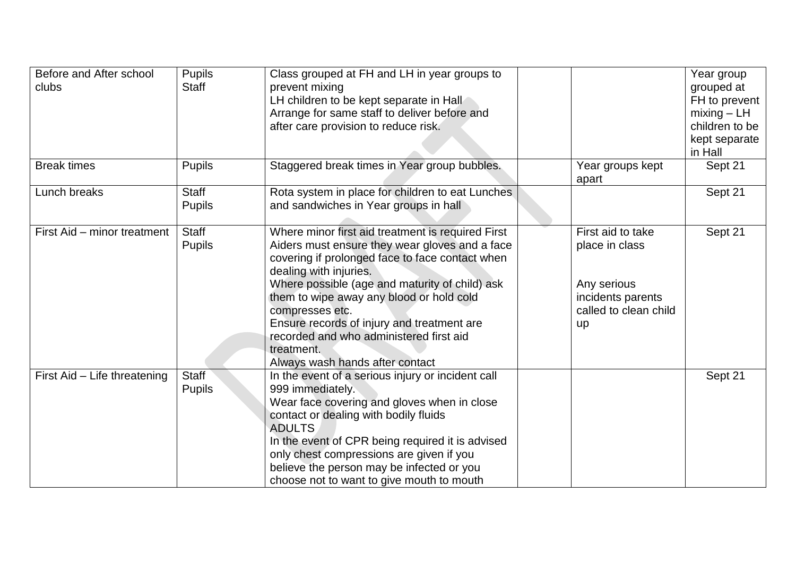| Before and After school<br>clubs | Pupils<br><b>Staff</b>        | Class grouped at FH and LH in year groups to<br>prevent mixing<br>LH children to be kept separate in Hall<br>Arrange for same staff to deliver before and<br>after care provision to reduce risk.                                                                                                                                                                                                                                           |                                                                                                        | Year group<br>grouped at<br>FH to prevent<br>$mixing - LH$<br>children to be<br>kept separate<br>in Hall |
|----------------------------------|-------------------------------|---------------------------------------------------------------------------------------------------------------------------------------------------------------------------------------------------------------------------------------------------------------------------------------------------------------------------------------------------------------------------------------------------------------------------------------------|--------------------------------------------------------------------------------------------------------|----------------------------------------------------------------------------------------------------------|
| <b>Break times</b>               | <b>Pupils</b>                 | Staggered break times in Year group bubbles.                                                                                                                                                                                                                                                                                                                                                                                                | Year groups kept<br>apart                                                                              | Sept 21                                                                                                  |
| Lunch breaks                     | <b>Staff</b><br><b>Pupils</b> | Rota system in place for children to eat Lunches<br>and sandwiches in Year groups in hall                                                                                                                                                                                                                                                                                                                                                   |                                                                                                        | Sept 21                                                                                                  |
| First Aid – minor treatment      | <b>Staff</b><br><b>Pupils</b> | Where minor first aid treatment is required First<br>Aiders must ensure they wear gloves and a face<br>covering if prolonged face to face contact when<br>dealing with injuries.<br>Where possible (age and maturity of child) ask<br>them to wipe away any blood or hold cold<br>compresses etc.<br>Ensure records of injury and treatment are<br>recorded and who administered first aid<br>treatment.<br>Always wash hands after contact | First aid to take<br>place in class<br>Any serious<br>incidents parents<br>called to clean child<br>up | Sept 21                                                                                                  |
| First Aid - Life threatening     | <b>Staff</b><br><b>Pupils</b> | In the event of a serious injury or incident call<br>999 immediately.<br>Wear face covering and gloves when in close<br>contact or dealing with bodily fluids<br><b>ADULTS</b><br>In the event of CPR being required it is advised<br>only chest compressions are given if you<br>believe the person may be infected or you<br>choose not to want to give mouth to mouth                                                                    |                                                                                                        | Sept 21                                                                                                  |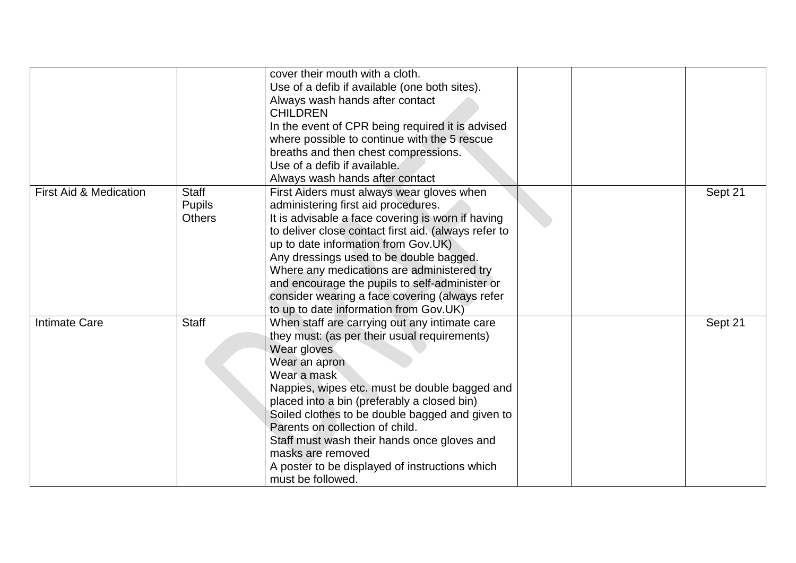|                                   |                                                | cover their mouth with a cloth.<br>Use of a defib if available (one both sites).<br>Always wash hands after contact<br><b>CHILDREN</b><br>In the event of CPR being required it is advised<br>where possible to continue with the 5 rescue<br>breaths and then chest compressions.<br>Use of a defib if available.                                                                                                                                                                                             |  |         |
|-----------------------------------|------------------------------------------------|----------------------------------------------------------------------------------------------------------------------------------------------------------------------------------------------------------------------------------------------------------------------------------------------------------------------------------------------------------------------------------------------------------------------------------------------------------------------------------------------------------------|--|---------|
| <b>First Aid &amp; Medication</b> | <b>Staff</b><br><b>Pupils</b><br><b>Others</b> | Always wash hands after contact<br>First Aiders must always wear gloves when<br>administering first aid procedures.<br>It is advisable a face covering is worn if having<br>to deliver close contact first aid. (always refer to<br>up to date information from Gov.UK)<br>Any dressings used to be double bagged.<br>Where any medications are administered try<br>and encourage the pupils to self-administer or<br>consider wearing a face covering (always refer<br>to up to date information from Gov.UK) |  | Sept 21 |
| <b>Intimate Care</b>              | <b>Staff</b>                                   | When staff are carrying out any intimate care<br>they must: (as per their usual requirements)<br>Wear gloves<br>Wear an apron<br>Wear a mask<br>Nappies, wipes etc. must be double bagged and<br>placed into a bin (preferably a closed bin)<br>Soiled clothes to be double bagged and given to<br>Parents on collection of child.<br>Staff must wash their hands once gloves and<br>masks are removed<br>A poster to be displayed of instructions which<br>must be followed.                                  |  | Sept 21 |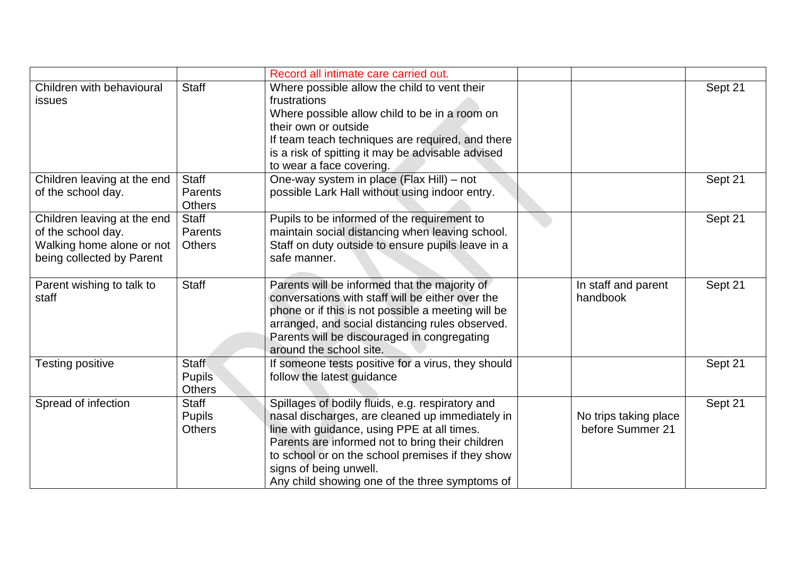|                             |               | Record all intimate care carried out.              |                       |         |
|-----------------------------|---------------|----------------------------------------------------|-----------------------|---------|
| Children with behavioural   | <b>Staff</b>  | Where possible allow the child to vent their       |                       | Sept 21 |
| issues                      |               | frustrations                                       |                       |         |
|                             |               | Where possible allow child to be in a room on      |                       |         |
|                             |               | their own or outside                               |                       |         |
|                             |               | If team teach techniques are required, and there   |                       |         |
|                             |               | is a risk of spitting it may be advisable advised  |                       |         |
|                             |               | to wear a face covering.                           |                       |         |
| Children leaving at the end | <b>Staff</b>  | One-way system in place (Flax Hill) – not          |                       | Sept 21 |
| of the school day.          | Parents       | possible Lark Hall without using indoor entry.     |                       |         |
|                             | <b>Others</b> |                                                    |                       |         |
| Children leaving at the end | <b>Staff</b>  | Pupils to be informed of the requirement to        |                       | Sept 21 |
| of the school day.          | Parents       | maintain social distancing when leaving school.    |                       |         |
| Walking home alone or not   | <b>Others</b> | Staff on duty outside to ensure pupils leave in a  |                       |         |
| being collected by Parent   |               | safe manner.                                       |                       |         |
|                             |               |                                                    |                       |         |
| Parent wishing to talk to   | <b>Staff</b>  | Parents will be informed that the majority of      | In staff and parent   | Sept 21 |
| staff                       |               | conversations with staff will be either over the   | handbook              |         |
|                             |               | phone or if this is not possible a meeting will be |                       |         |
|                             |               | arranged, and social distancing rules observed.    |                       |         |
|                             |               | Parents will be discouraged in congregating        |                       |         |
|                             |               | around the school site.                            |                       |         |
| <b>Testing positive</b>     | <b>Staff</b>  | If someone tests positive for a virus, they should |                       | Sept 21 |
|                             | <b>Pupils</b> | follow the latest guidance                         |                       |         |
|                             | <b>Others</b> |                                                    |                       |         |
| Spread of infection         | <b>Staff</b>  | Spillages of bodily fluids, e.g. respiratory and   |                       | Sept 21 |
|                             | <b>Pupils</b> | nasal discharges, are cleaned up immediately in    | No trips taking place |         |
|                             | <b>Others</b> | line with guidance, using PPE at all times.        | before Summer 21      |         |
|                             |               | Parents are informed not to bring their children   |                       |         |
|                             |               | to school or on the school premises if they show   |                       |         |
|                             |               | signs of being unwell.                             |                       |         |
|                             |               | Any child showing one of the three symptoms of     |                       |         |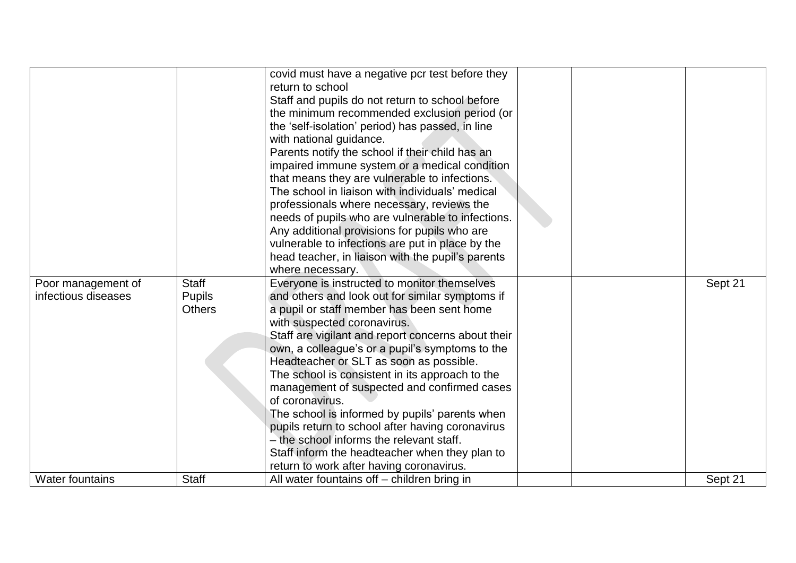|                                           |                               | covid must have a negative pcr test before they<br>return to school<br>Staff and pupils do not return to school before<br>the minimum recommended exclusion period (or<br>the 'self-isolation' period) has passed, in line<br>with national guidance.<br>Parents notify the school if their child has an<br>impaired immune system or a medical condition<br>that means they are vulnerable to infections.<br>The school in liaison with individuals' medical<br>professionals where necessary, reviews the<br>needs of pupils who are vulnerable to infections.<br>Any additional provisions for pupils who are<br>vulnerable to infections are put in place by the<br>head teacher, in liaison with the pupil's parents<br>where necessary. |  |         |
|-------------------------------------------|-------------------------------|-----------------------------------------------------------------------------------------------------------------------------------------------------------------------------------------------------------------------------------------------------------------------------------------------------------------------------------------------------------------------------------------------------------------------------------------------------------------------------------------------------------------------------------------------------------------------------------------------------------------------------------------------------------------------------------------------------------------------------------------------|--|---------|
| Poor management of<br>infectious diseases | <b>Staff</b><br><b>Pupils</b> | Everyone is instructed to monitor themselves<br>and others and look out for similar symptoms if                                                                                                                                                                                                                                                                                                                                                                                                                                                                                                                                                                                                                                               |  | Sept 21 |
|                                           | <b>Others</b>                 | a pupil or staff member has been sent home                                                                                                                                                                                                                                                                                                                                                                                                                                                                                                                                                                                                                                                                                                    |  |         |
|                                           |                               | with suspected coronavirus.                                                                                                                                                                                                                                                                                                                                                                                                                                                                                                                                                                                                                                                                                                                   |  |         |
|                                           |                               | Staff are vigilant and report concerns about their                                                                                                                                                                                                                                                                                                                                                                                                                                                                                                                                                                                                                                                                                            |  |         |
|                                           |                               | own, a colleague's or a pupil's symptoms to the<br>Headteacher or SLT as soon as possible.                                                                                                                                                                                                                                                                                                                                                                                                                                                                                                                                                                                                                                                    |  |         |
|                                           |                               | The school is consistent in its approach to the                                                                                                                                                                                                                                                                                                                                                                                                                                                                                                                                                                                                                                                                                               |  |         |
|                                           |                               | management of suspected and confirmed cases                                                                                                                                                                                                                                                                                                                                                                                                                                                                                                                                                                                                                                                                                                   |  |         |
|                                           |                               | of coronavirus.                                                                                                                                                                                                                                                                                                                                                                                                                                                                                                                                                                                                                                                                                                                               |  |         |
|                                           |                               | The school is informed by pupils' parents when                                                                                                                                                                                                                                                                                                                                                                                                                                                                                                                                                                                                                                                                                                |  |         |
|                                           |                               | pupils return to school after having coronavirus                                                                                                                                                                                                                                                                                                                                                                                                                                                                                                                                                                                                                                                                                              |  |         |
|                                           |                               | - the school informs the relevant staff.                                                                                                                                                                                                                                                                                                                                                                                                                                                                                                                                                                                                                                                                                                      |  |         |
|                                           |                               | Staff inform the headteacher when they plan to                                                                                                                                                                                                                                                                                                                                                                                                                                                                                                                                                                                                                                                                                                |  |         |
|                                           |                               | return to work after having coronavirus.                                                                                                                                                                                                                                                                                                                                                                                                                                                                                                                                                                                                                                                                                                      |  |         |
| <b>Water fountains</b>                    | <b>Staff</b>                  | All water fountains off – children bring in                                                                                                                                                                                                                                                                                                                                                                                                                                                                                                                                                                                                                                                                                                   |  | Sept 21 |